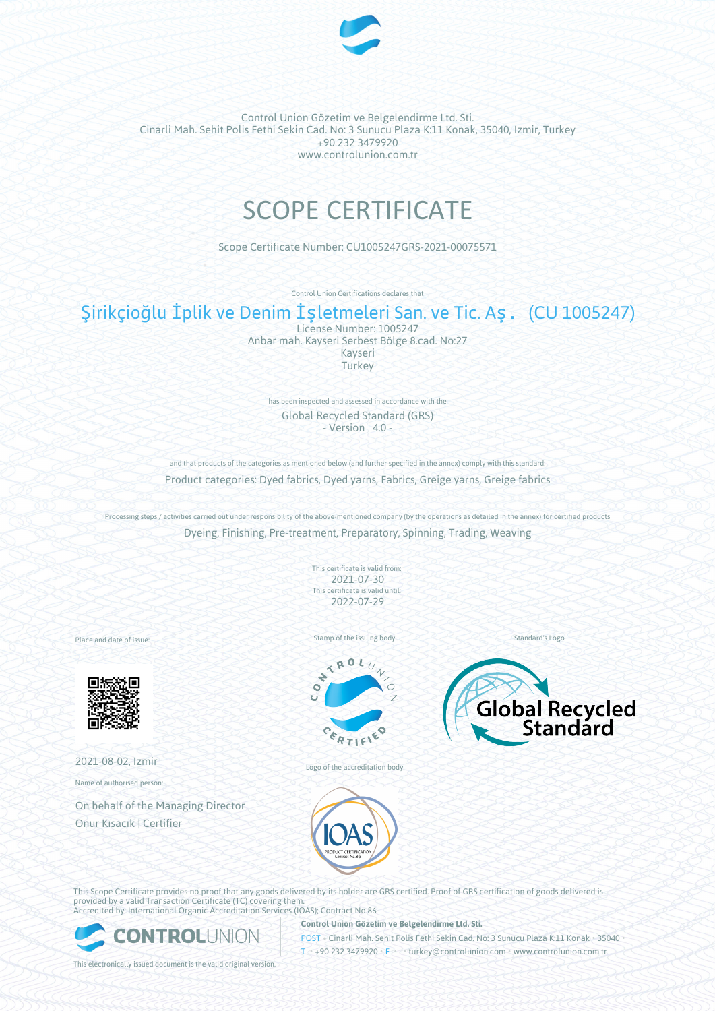

# SCOPE CERTIFICATE

Scope Certificate Number: CU1005247GRS-2021-00075571

Control Union Certifications declares that

# Şirikçioğlu İplik ve Denim İşletmeleri San. ve Tic. Aş. (CU 1005247)

License Number: 1005247 Anbar mah. Kayseri Serbest Bölge 8.cad. No:27 Kayseri **Turkey** 

has been inspected and assessed in accordance with the Global Recycled Standard (GRS) - Version 4.0 -

and that products of the categories as mentioned below (and further specified in the annex) comply with this standard: Product categories: Dyed fabrics, Dyed yarns, Fabrics, Greige yarns, Greige fabrics

Processing steps / activities carried out under responsibility of the above-mentioned company (by the operations as detailed in the annex) for certified products Dyeing, Finishing, Pre-treatment, Preparatory, Spinning, Trading, Weaving

> This certificate is valid from: 2021-07-30 This certificate is valid until: 2022-07-29

Place and date of issue:



2021-08-02, Izmir

Name of authorised person:

On behalf of the Managing Director Onur Kısacık | Certifier

Stamp of the issuing body



Logo of the accreditation body



Standard's Logo

This Scope Certificate provides no proof that any goods delivered by its holder are GRS certified. Proof of GRS certification of goods delivered is provided by a valid Transaction Certificate (TC) covering them. Accredited by: International Organic Accreditation Services (IOAS); Contract No 86



**Control Union Gözetim ve Belgelendirme Ltd. Sti.**

POST • Cinarli Mah. Sehit Polis Fethi Sekin Cad. No: 3 Sunucu Plaza K:11 Konak • 35040 • T • +90 232 3479920 • F • • turkey@controlunion.com • www.controlunion.com.tr

This electronically issued document is the valid original version.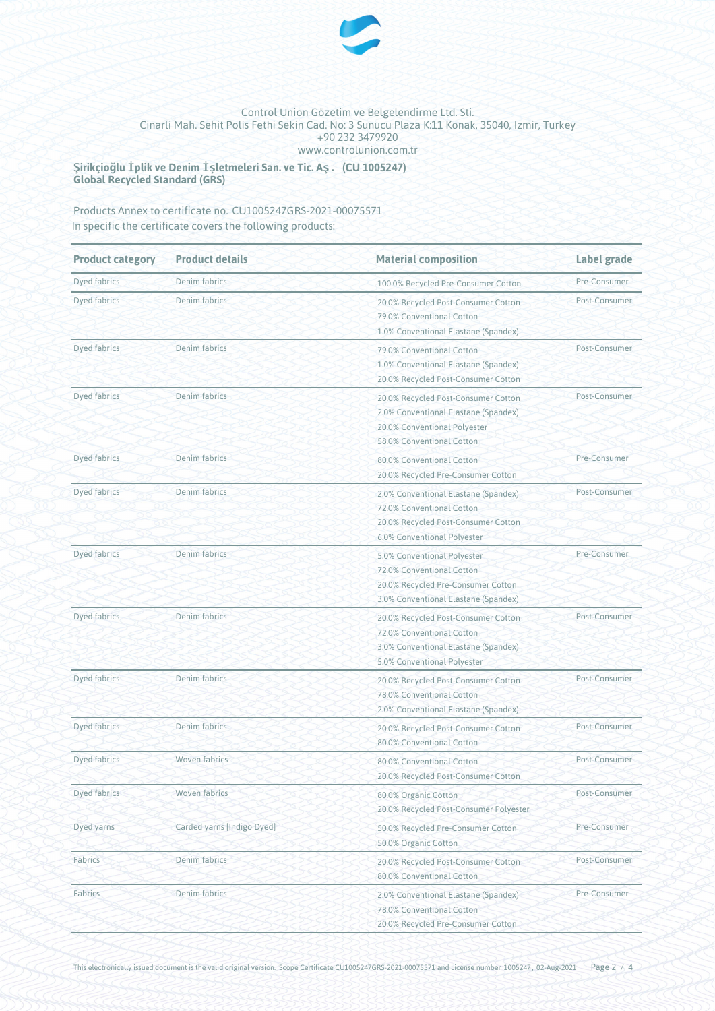

**Şirikçioğlu İplik ve Denim İşletmeleri San. ve Tic. Aş. (CU 1005247) Global Recycled Standard (GRS)**

Products Annex to certificate no. CU1005247GRS-2021-00075571 In specific the certificate covers the following products:

| <b>Product category</b> | <b>Product details</b>     | <b>Material composition</b>                                                                                                              | Label grade   |
|-------------------------|----------------------------|------------------------------------------------------------------------------------------------------------------------------------------|---------------|
| Dyed fabrics            | Denim fabrics              | 100.0% Recycled Pre-Consumer Cotton                                                                                                      | Pre-Consumer  |
| Dyed fabrics            | Denim fabrics              | 20.0% Recycled Post-Consumer Cotton<br>79.0% Conventional Cotton<br>1.0% Conventional Elastane (Spandex)                                 | Post-Consumer |
| Dyed fabrics            | Denim fabrics              | 79.0% Conventional Cotton<br>1.0% Conventional Elastane (Spandex)<br>20.0% Recycled Post-Consumer Cotton                                 | Post-Consumer |
| Dyed fabrics            | Denim fabrics              | 20.0% Recycled Post-Consumer Cotton<br>2.0% Conventional Elastane (Spandex)<br>20.0% Conventional Polyester<br>58.0% Conventional Cotton | Post-Consumer |
| Dyed fabrics            | Denim fabrics              | 80.0% Conventional Cotton<br>20.0% Recycled Pre-Consumer Cotton                                                                          | Pre-Consumer  |
| Dyed fabrics            | Denim fabrics              | 2.0% Conventional Elastane (Spandex)<br>72.0% Conventional Cotton<br>20.0% Recycled Post-Consumer Cotton<br>6.0% Conventional Polyester  | Post-Consumer |
| Dyed fabrics            | Denim fabrics              | 5.0% Conventional Polyester<br>72.0% Conventional Cotton<br>20.0% Recycled Pre-Consumer Cotton<br>3.0% Conventional Elastane (Spandex)   | Pre-Consumer  |
| Dyed fabrics            | Denim fabrics              | 20.0% Recycled Post-Consumer Cotton<br>72.0% Conventional Cotton<br>3.0% Conventional Elastane (Spandex)<br>5.0% Conventional Polyester  | Post-Consumer |
| Dyed fabrics            | Denim fabrics              | 20.0% Recycled Post-Consumer Cotton<br>78.0% Conventional Cotton<br>2.0% Conventional Elastane (Spandex)                                 | Post-Consumer |
| Dyed fabrics            | Denim fabrics              | 20.0% Recycled Post-Consumer Cotton<br>80.0% Conventional Cotton                                                                         | Post-Consumer |
| Dyed fabrics            | <b>Woven fabrics</b>       | 80.0% Conventional Cotton<br>20.0% Recycled Post-Consumer Cotton                                                                         | Post-Consumer |
| Dyed fabrics            | <b>Woven fabrics</b>       | 80.0% Organic Cotton<br>20.0% Recycled Post-Consumer Polyester                                                                           | Post-Consumer |
| Dyed yarns              | Carded yarns [Indigo Dyed] | 50.0% Recycled Pre-Consumer Cotton<br>50.0% Organic Cotton                                                                               | Pre-Consumer  |
| Fabrics                 | Denim fabrics              | 20.0% Recycled Post-Consumer Cotton<br>80.0% Conventional Cotton                                                                         | Post-Consumer |
| Fabrics                 | Denim fabrics              | 2.0% Conventional Elastane (Spandex)<br>78.0% Conventional Cotton<br>20.0% Recycled Pre-Consumer Cotton                                  | Pre-Consumer  |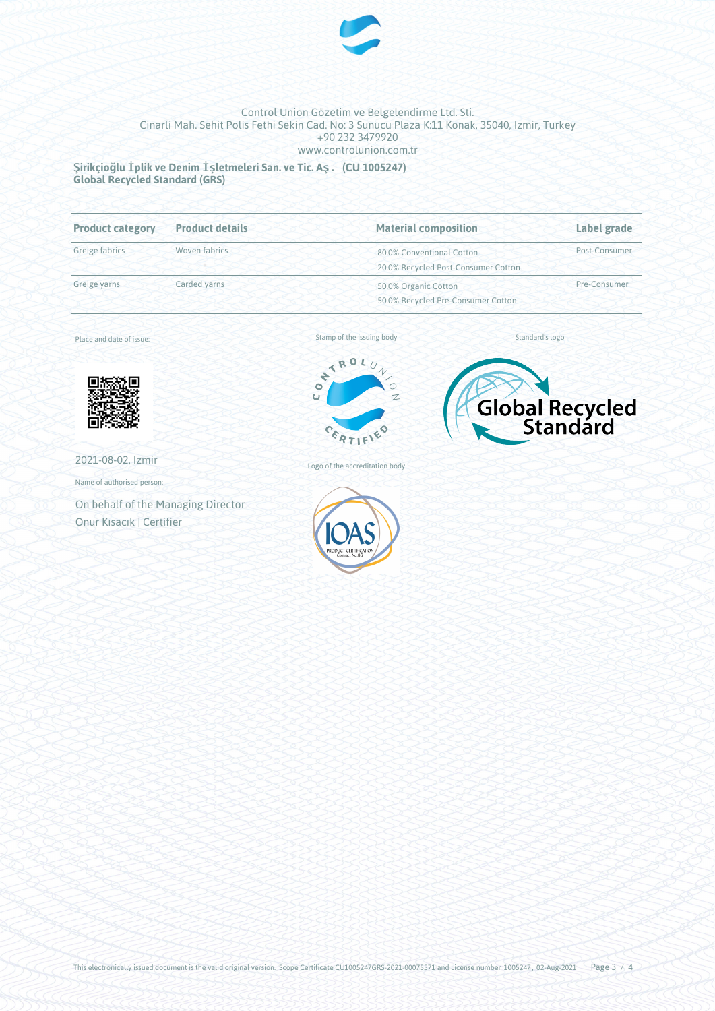

**Şirikçioğlu İplik ve Denim İşletmeleri San. ve Tic. Aş. (CU 1005247) Global Recycled Standard (GRS)**

| <b>Product category</b> | <b>Product details</b> | <b>Material composition</b>         | Label grade   |
|-------------------------|------------------------|-------------------------------------|---------------|
| Greige fabrics          | Woven fabrics          | 80.0% Conventional Cotton           | Post-Consumer |
|                         |                        | 20.0% Recycled Post-Consumer Cotton |               |
| Greige yarns            | Carded yarns           | 50.0% Organic Cotton                | Pre-Consumer  |
|                         |                        | 50.0% Recycled Pre-Consumer Cotton  |               |

Place and date of issue:



2021-08-02, Izmir

Name of authorised person:

On behalf of the Managing Director Onur Kısacık | Certifier



Logo of the accreditation body



Standard's logo



This electronically issued document is the valid original version. Scope Certificate CU1005247GRS-2021-00075571 and License number 1005247, 02-Aug-2021 Page  $3/4$